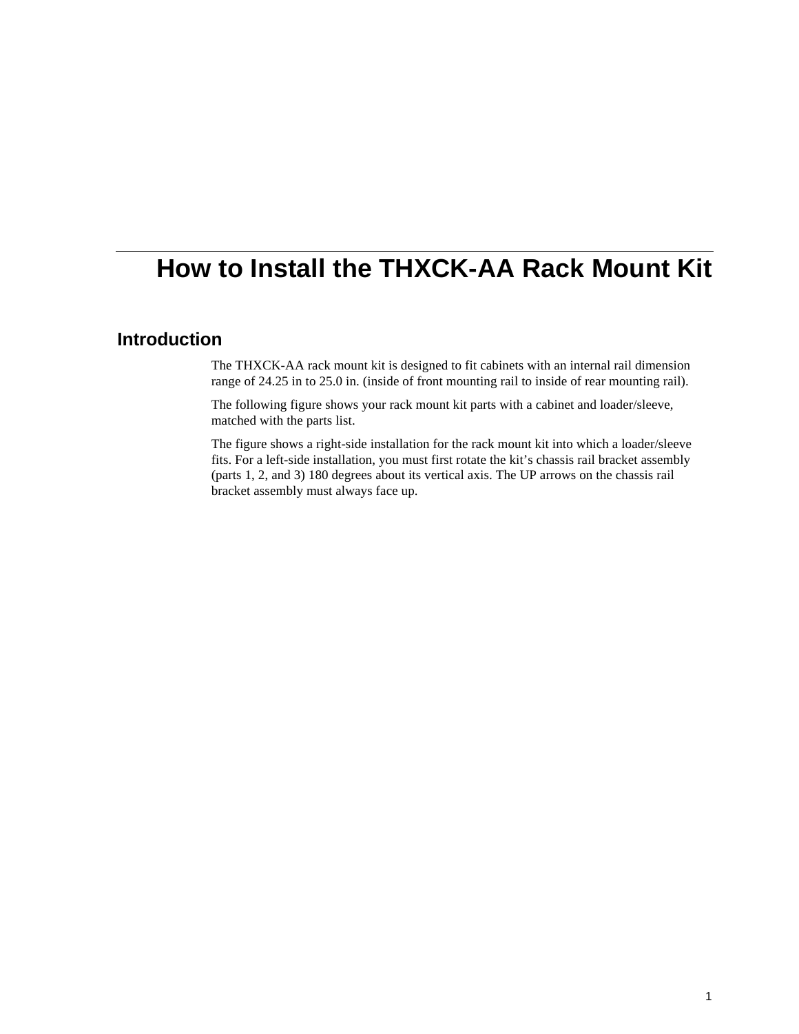## **How to Install the THXCK-AA Rack Mount Kit**

## **Introduction**

The THXCK-AA rack mount kit is designed to fit cabinets with an internal rail dimension range of 24.25 in to 25.0 in. (inside of front mounting rail to inside of rear mounting rail).

The following figure shows your rack mount kit parts with a cabinet and loader/sleeve, matched with the parts list.

The figure shows a right-side installation for the rack mount kit into which a loader/sleeve fits. For a left-side installation, you must first rotate the kit's chassis rail bracket assembly (parts 1, 2, and 3) 180 degrees about its vertical axis. The UP arrows on the chassis rail bracket assembly must always face up.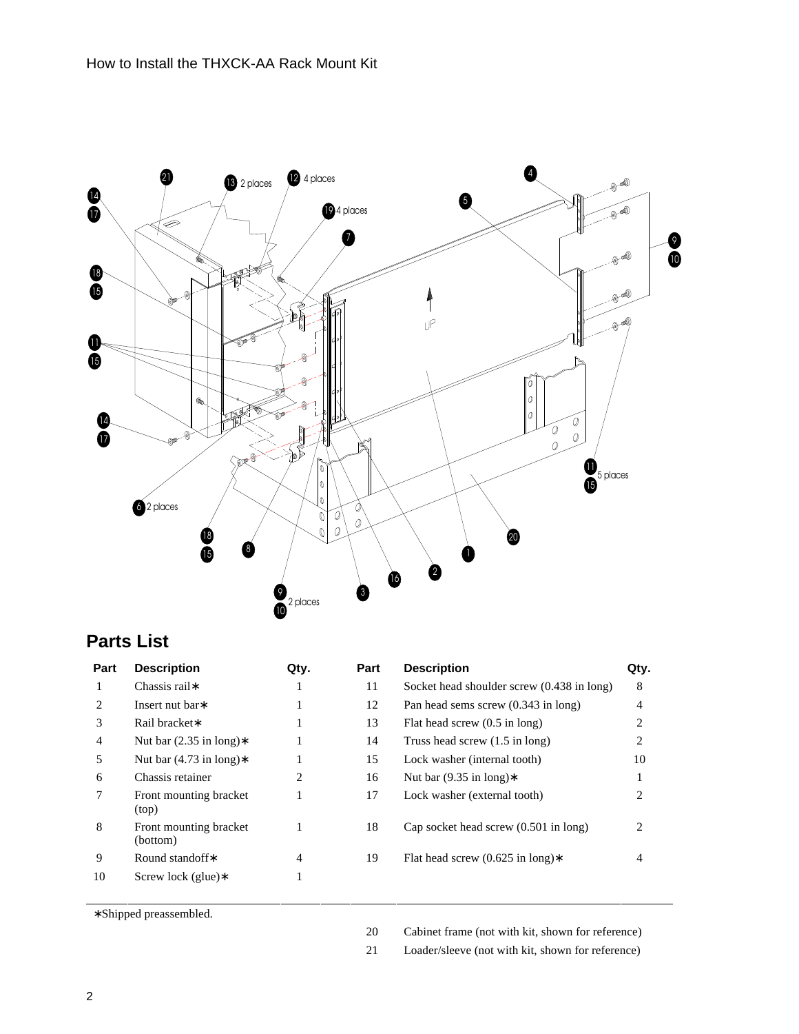

## **Parts List**

| Part                        | <b>Description</b>                 | Qty. | Part | <b>Description</b>                              | Qty.           |
|-----------------------------|------------------------------------|------|------|-------------------------------------------------|----------------|
|                             | Chassis rail*                      |      | 11   | Socket head shoulder screw (0.438 in long)      | 8              |
| $\mathcal{D}_{\mathcal{L}}$ | Insert nut bar*                    |      | 12   | Pan head sems screw $(0.343 \text{ in long})$   | 4              |
| 3                           | Rail bracket*                      |      | 13   | Flat head screw $(0.5 \text{ in long})$         | $\overline{c}$ |
| 4                           | Nut bar $(2.35 \text{ in long})$ * |      | 14   | Truss head screw $(1.5 \text{ in long})$        | 2              |
| 5                           | Nut bar $(4.73 \text{ in long})$ * |      | 15   | Lock washer (internal tooth)                    | 10             |
| 6                           | Chassis retainer                   | 2    | 16   | Nut bar $(9.35 \text{ in long})$ *              |                |
|                             | Front mounting bracket<br>(top)    |      | 17   | Lock washer (external tooth)                    | 2              |
| 8                           | Front mounting bracket<br>(bottom) |      | 18   | Cap socket head screw $(0.501 \text{ in long})$ | 2              |
| 9                           | Round standoff*                    | 4    | 19   | Flat head screw $(0.625 \text{ in long})$ *     | 4              |
| 10                          | Screw lock (glue) $*$              |      |      |                                                 |                |

∗ Shipped preassembled.

Cabinet frame (not with kit, shown for reference)

Loader/sleeve (not with kit, shown for reference)